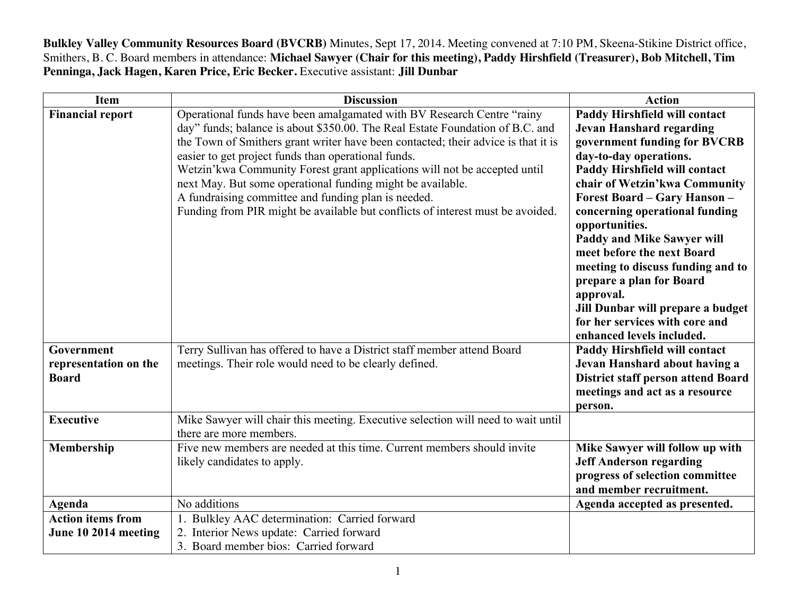**Bulkley Valley Community Resources Board (BVCRB)** Minutes, Sept 17, 2014. Meeting convened at 7:10 PM, Skeena-Stikine District office, Smithers, B. C. Board members in attendance: **Michael Sawyer (Chair for this meeting), Paddy Hirshfield (Treasurer), Bob Mitchell, Tim Penninga, Jack Hagen, Karen Price, Eric Becker.** Executive assistant: **Jill Dunbar**

| Item                                                | <b>Discussion</b>                                                                                                                                                                                                                                                                                                                                                                                                                                                                                                                                                                         | <b>Action</b>                                                                                                                                                                                                                                                                                                                                                                                                                                                                                                                                |
|-----------------------------------------------------|-------------------------------------------------------------------------------------------------------------------------------------------------------------------------------------------------------------------------------------------------------------------------------------------------------------------------------------------------------------------------------------------------------------------------------------------------------------------------------------------------------------------------------------------------------------------------------------------|----------------------------------------------------------------------------------------------------------------------------------------------------------------------------------------------------------------------------------------------------------------------------------------------------------------------------------------------------------------------------------------------------------------------------------------------------------------------------------------------------------------------------------------------|
| <b>Financial report</b>                             | Operational funds have been amalgamated with BV Research Centre "rainy"<br>day" funds; balance is about \$350.00. The Real Estate Foundation of B.C. and<br>the Town of Smithers grant writer have been contacted; their advice is that it is<br>easier to get project funds than operational funds.<br>Wetzin' kwa Community Forest grant applications will not be accepted until<br>next May. But some operational funding might be available.<br>A fundraising committee and funding plan is needed.<br>Funding from PIR might be available but conflicts of interest must be avoided. | Paddy Hirshfield will contact<br><b>Jevan Hanshard regarding</b><br>government funding for BVCRB<br>day-to-day operations.<br>Paddy Hirshfield will contact<br>chair of Wetzin'kwa Community<br><b>Forest Board - Gary Hanson -</b><br>concerning operational funding<br>opportunities.<br><b>Paddy and Mike Sawyer will</b><br>meet before the next Board<br>meeting to discuss funding and to<br>prepare a plan for Board<br>approval.<br>Jill Dunbar will prepare a budget<br>for her services with core and<br>enhanced levels included. |
| Government<br>representation on the<br><b>Board</b> | Terry Sullivan has offered to have a District staff member attend Board<br>meetings. Their role would need to be clearly defined.                                                                                                                                                                                                                                                                                                                                                                                                                                                         | Paddy Hirshfield will contact<br>Jevan Hanshard about having a<br><b>District staff person attend Board</b><br>meetings and act as a resource<br>person.                                                                                                                                                                                                                                                                                                                                                                                     |
| <b>Executive</b>                                    | Mike Sawyer will chair this meeting. Executive selection will need to wait until<br>there are more members.                                                                                                                                                                                                                                                                                                                                                                                                                                                                               |                                                                                                                                                                                                                                                                                                                                                                                                                                                                                                                                              |
| Membership                                          | Five new members are needed at this time. Current members should invite<br>likely candidates to apply.                                                                                                                                                                                                                                                                                                                                                                                                                                                                                    | Mike Sawyer will follow up with<br><b>Jeff Anderson regarding</b><br>progress of selection committee<br>and member recruitment.                                                                                                                                                                                                                                                                                                                                                                                                              |
| <b>Agenda</b>                                       | No additions                                                                                                                                                                                                                                                                                                                                                                                                                                                                                                                                                                              | Agenda accepted as presented.                                                                                                                                                                                                                                                                                                                                                                                                                                                                                                                |
| <b>Action items from</b><br>June 10 2014 meeting    | 1. Bulkley AAC determination: Carried forward<br>2. Interior News update: Carried forward                                                                                                                                                                                                                                                                                                                                                                                                                                                                                                 |                                                                                                                                                                                                                                                                                                                                                                                                                                                                                                                                              |
|                                                     | 3. Board member bios: Carried forward                                                                                                                                                                                                                                                                                                                                                                                                                                                                                                                                                     |                                                                                                                                                                                                                                                                                                                                                                                                                                                                                                                                              |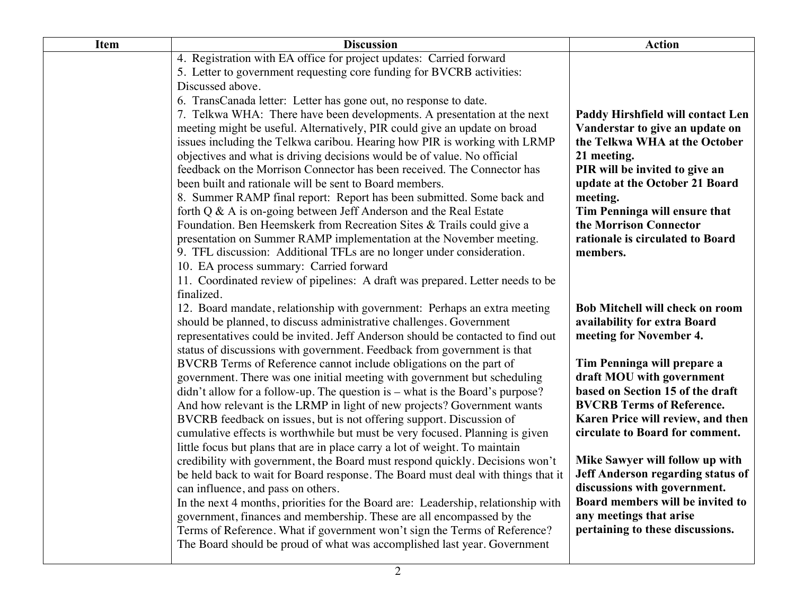| <b>Item</b> | <b>Discussion</b>                                                                                                                                      | <b>Action</b>                                                            |
|-------------|--------------------------------------------------------------------------------------------------------------------------------------------------------|--------------------------------------------------------------------------|
|             | 4. Registration with EA office for project updates: Carried forward                                                                                    |                                                                          |
|             | 5. Letter to government requesting core funding for BVCRB activities:                                                                                  |                                                                          |
|             | Discussed above.                                                                                                                                       |                                                                          |
|             | 6. TransCanada letter: Letter has gone out, no response to date.                                                                                       |                                                                          |
|             | 7. Telkwa WHA: There have been developments. A presentation at the next                                                                                | Paddy Hirshfield will contact Len                                        |
|             | meeting might be useful. Alternatively, PIR could give an update on broad<br>issues including the Telkwa caribou. Hearing how PIR is working with LRMP | Vanderstar to give an update on<br>the Telkwa WHA at the October         |
|             | objectives and what is driving decisions would be of value. No official                                                                                | 21 meeting.                                                              |
|             | feedback on the Morrison Connector has been received. The Connector has                                                                                | PIR will be invited to give an                                           |
|             | been built and rationale will be sent to Board members.                                                                                                | update at the October 21 Board                                           |
|             | 8. Summer RAMP final report: Report has been submitted. Some back and                                                                                  | meeting.                                                                 |
|             | forth $Q \& A$ is on-going between Jeff Anderson and the Real Estate                                                                                   | Tim Penninga will ensure that                                            |
|             | Foundation. Ben Heemskerk from Recreation Sites & Trails could give a                                                                                  | the Morrison Connector                                                   |
|             | presentation on Summer RAMP implementation at the November meeting.                                                                                    | rationale is circulated to Board                                         |
|             | 9. TFL discussion: Additional TFLs are no longer under consideration.                                                                                  | members.                                                                 |
|             | 10. EA process summary: Carried forward                                                                                                                |                                                                          |
|             | 11. Coordinated review of pipelines: A draft was prepared. Letter needs to be                                                                          |                                                                          |
|             | finalized.                                                                                                                                             |                                                                          |
|             | 12. Board mandate, relationship with government: Perhaps an extra meeting<br>should be planned, to discuss administrative challenges. Government       | <b>Bob Mitchell will check on room</b><br>availability for extra Board   |
|             | representatives could be invited. Jeff Anderson should be contacted to find out                                                                        | meeting for November 4.                                                  |
|             | status of discussions with government. Feedback from government is that                                                                                |                                                                          |
|             | BVCRB Terms of Reference cannot include obligations on the part of                                                                                     | Tim Penninga will prepare a                                              |
|             | government. There was one initial meeting with government but scheduling                                                                               | draft MOU with government                                                |
|             | didn't allow for a follow-up. The question is – what is the Board's purpose?                                                                           | based on Section 15 of the draft                                         |
|             | And how relevant is the LRMP in light of new projects? Government wants                                                                                | <b>BVCRB Terms of Reference.</b>                                         |
|             | BVCRB feedback on issues, but is not offering support. Discussion of                                                                                   | Karen Price will review, and then                                        |
|             | cumulative effects is worthwhile but must be very focused. Planning is given                                                                           | circulate to Board for comment.                                          |
|             | little focus but plans that are in place carry a lot of weight. To maintain                                                                            |                                                                          |
|             | credibility with government, the Board must respond quickly. Decisions won't                                                                           | Mike Sawyer will follow up with                                          |
|             | be held back to wait for Board response. The Board must deal with things that it                                                                       | <b>Jeff Anderson regarding status of</b><br>discussions with government. |
|             | can influence, and pass on others.<br>In the next 4 months, priorities for the Board are: Leadership, relationship with                                | Board members will be invited to                                         |
|             | government, finances and membership. These are all encompassed by the                                                                                  | any meetings that arise                                                  |
|             | Terms of Reference. What if government won't sign the Terms of Reference?                                                                              | pertaining to these discussions.                                         |
|             | The Board should be proud of what was accomplished last year. Government                                                                               |                                                                          |
|             |                                                                                                                                                        |                                                                          |